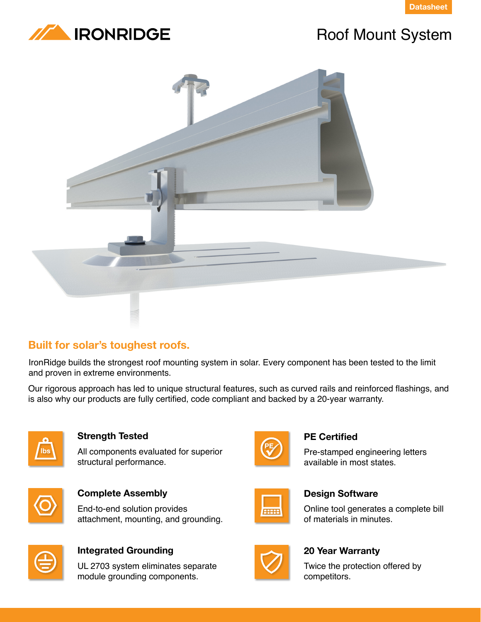



# Roof Mount System



# **Built for solar's toughest roofs.**

IronRidge builds the strongest roof mounting system in solar. Every component has been tested to the limit and proven in extreme environments.

Our rigorous approach has led to unique structural features, such as curved rails and reinforced flashings, and is also why our products are fully certified, code compliant and backed by a 20-year warranty.



# **Strength Tested**

All components evaluated for superior structural performance.



**Complete Assembly** End-to-end solution provides



# **Integrated Grounding**

UL 2703 system eliminates separate module grounding components.

attachment, mounting, and grounding.



# **PE Certified**

Pre-stamped engineering letters available in most states.



# **Design Software**

Online tool generates a complete bill of materials in minutes.



# **20 Year Warranty**

Twice the protection offered by competitors.